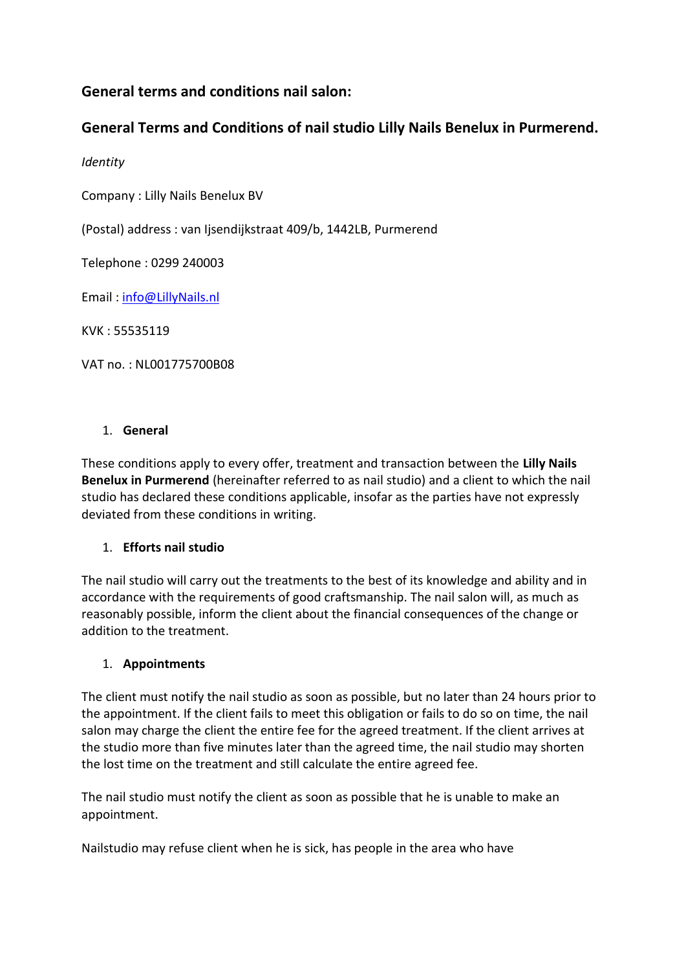# **General terms and conditions nail salon:**

# **General Terms and Conditions of nail studio Lilly Nails Benelux in Purmerend.**

*Identity*

Company : Lilly Nails Benelux BV

(Postal) address : van Ijsendijkstraat 409/b, 1442LB, Purmerend

Telephone : 0299 240003

Email : [info@LillyNails.nl](mailto:info@LillyNails.nl)

KVK : 55535119

VAT no. : NL001775700B08

#### 1. **General**

These conditions apply to every offer, treatment and transaction between the **Lilly Nails Benelux in Purmerend** (hereinafter referred to as nail studio) and a client to which the nail studio has declared these conditions applicable, insofar as the parties have not expressly deviated from these conditions in writing.

### 1. **Efforts nail studio**

The nail studio will carry out the treatments to the best of its knowledge and ability and in accordance with the requirements of good craftsmanship. The nail salon will, as much as reasonably possible, inform the client about the financial consequences of the change or addition to the treatment.

### 1. **Appointments**

The client must notify the nail studio as soon as possible, but no later than 24 hours prior to the appointment. If the client fails to meet this obligation or fails to do so on time, the nail salon may charge the client the entire fee for the agreed treatment. If the client arrives at the studio more than five minutes later than the agreed time, the nail studio may shorten the lost time on the treatment and still calculate the entire agreed fee.

The nail studio must notify the client as soon as possible that he is unable to make an appointment.

Nailstudio may refuse client when he is sick, has people in the area who have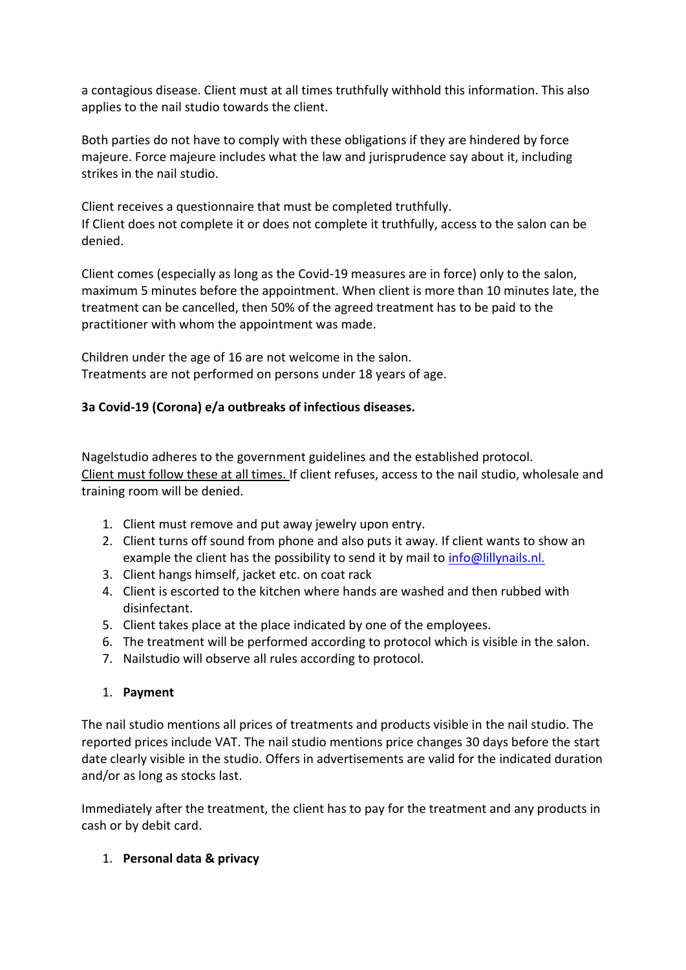a contagious disease. Client must at all times truthfully withhold this information. This also applies to the nail studio towards the client.

Both parties do not have to comply with these obligations if they are hindered by force majeure. Force majeure includes what the law and jurisprudence say about it, including strikes in the nail studio.

Client receives a questionnaire that must be completed truthfully. If Client does not complete it or does not complete it truthfully, access to the salon can be denied.

Client comes (especially as long as the Covid-19 measures are in force) only to the salon, maximum 5 minutes before the appointment. When client is more than 10 minutes late, the treatment can be cancelled, then 50% of the agreed treatment has to be paid to the practitioner with whom the appointment was made.

Children under the age of 16 are not welcome in the salon. Treatments are not performed on persons under 18 years of age.

### **3a Covid-19 (Corona) e/a outbreaks of infectious diseases.**

Nagelstudio adheres to the government guidelines and the established protocol. Client must follow these at all times. If client refuses, access to the nail studio, wholesale and training room will be denied.

- 1. Client must remove and put away jewelry upon entry.
- 2. Client turns off sound from phone and also puts it away. If client wants to show an example the client has the possibility to send it by mail to [info@lillynails.nl.](mailto:info@lillynails.nl)
- 3. Client hangs himself, jacket etc. on coat rack
- 4. Client is escorted to the kitchen where hands are washed and then rubbed with disinfectant.
- 5. Client takes place at the place indicated by one of the employees.
- 6. The treatment will be performed according to protocol which is visible in the salon.
- 7. Nailstudio will observe all rules according to protocol.

### 1. **Payment**

The nail studio mentions all prices of treatments and products visible in the nail studio. The reported prices include VAT. The nail studio mentions price changes 30 days before the start date clearly visible in the studio. Offers in advertisements are valid for the indicated duration and/or as long as stocks last.

Immediately after the treatment, the client has to pay for the treatment and any products in cash or by debit card.

### 1. **Personal data & privacy**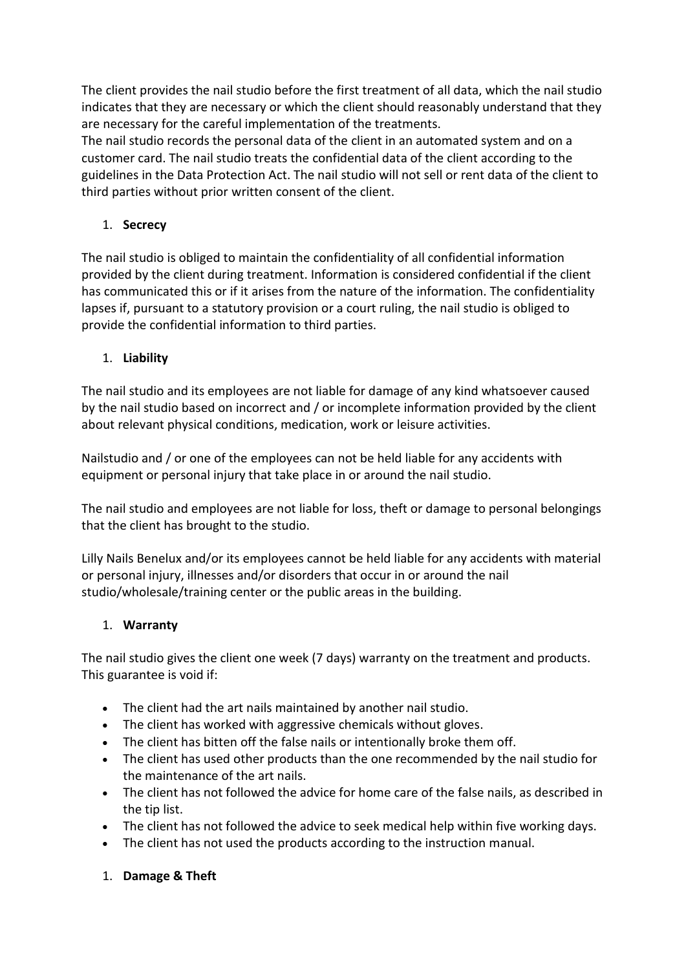The client provides the nail studio before the first treatment of all data, which the nail studio indicates that they are necessary or which the client should reasonably understand that they are necessary for the careful implementation of the treatments.

The nail studio records the personal data of the client in an automated system and on a customer card. The nail studio treats the confidential data of the client according to the guidelines in the Data Protection Act. The nail studio will not sell or rent data of the client to third parties without prior written consent of the client.

### 1. **Secrecy**

The nail studio is obliged to maintain the confidentiality of all confidential information provided by the client during treatment. Information is considered confidential if the client has communicated this or if it arises from the nature of the information. The confidentiality lapses if, pursuant to a statutory provision or a court ruling, the nail studio is obliged to provide the confidential information to third parties.

### 1. **Liability**

The nail studio and its employees are not liable for damage of any kind whatsoever caused by the nail studio based on incorrect and / or incomplete information provided by the client about relevant physical conditions, medication, work or leisure activities.

Nailstudio and / or one of the employees can not be held liable for any accidents with equipment or personal injury that take place in or around the nail studio.

The nail studio and employees are not liable for loss, theft or damage to personal belongings that the client has brought to the studio.

Lilly Nails Benelux and/or its employees cannot be held liable for any accidents with material or personal injury, illnesses and/or disorders that occur in or around the nail studio/wholesale/training center or the public areas in the building.

### 1. **Warranty**

The nail studio gives the client one week (7 days) warranty on the treatment and products. This guarantee is void if:

- The client had the art nails maintained by another nail studio.
- The client has worked with aggressive chemicals without gloves.
- The client has bitten off the false nails or intentionally broke them off.
- The client has used other products than the one recommended by the nail studio for the maintenance of the art nails.
- The client has not followed the advice for home care of the false nails, as described in the tip list.
- The client has not followed the advice to seek medical help within five working days.
- The client has not used the products according to the instruction manual.

## 1. **Damage & Theft**